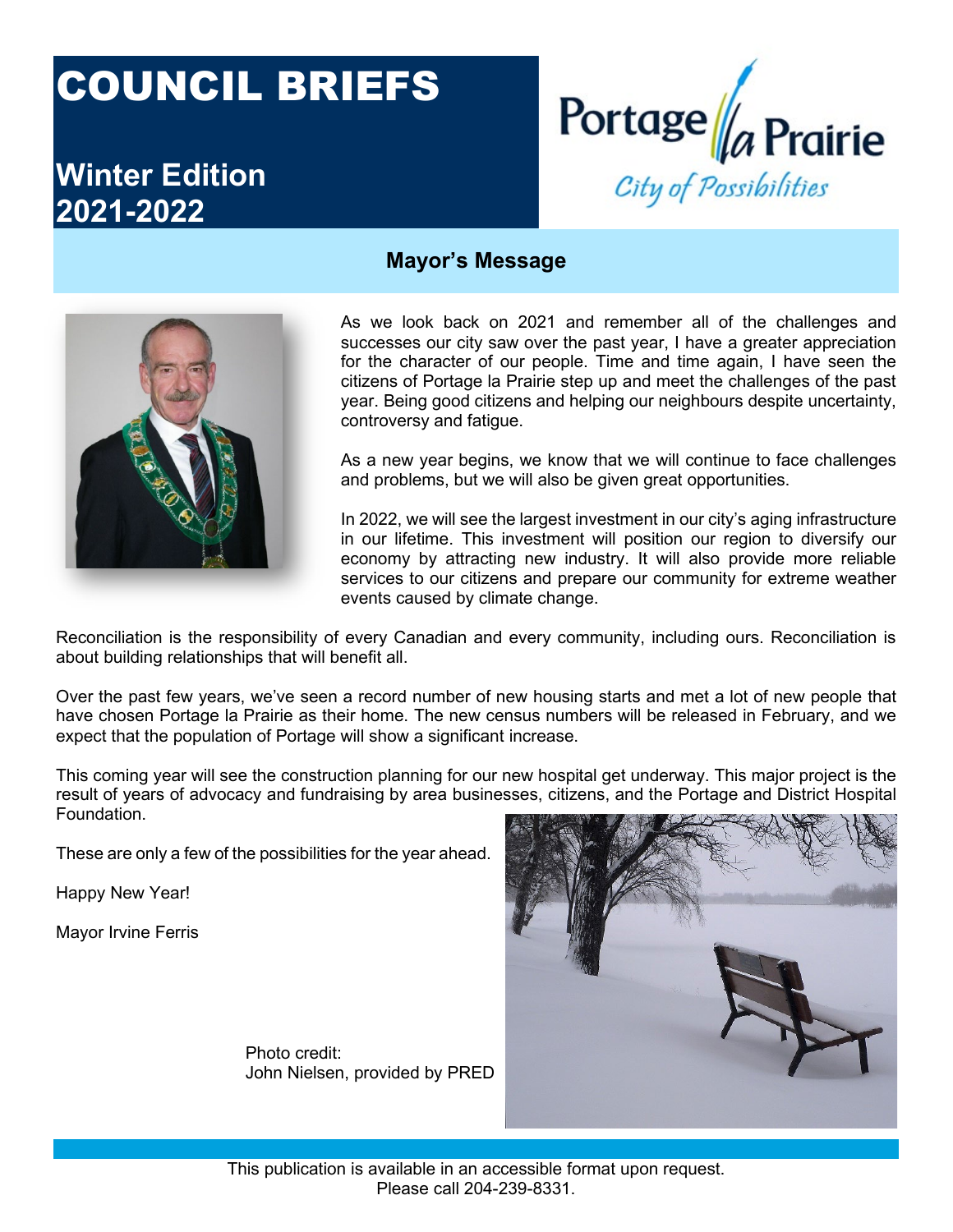# COUNCIL BRIEFS

# **Winter Edition 2021-2022**



#### **Mayor's Message**



As we look back on 2021 and remember all of the challenges and successes our city saw over the past year, I have a greater appreciation for the character of our people. Time and time again, I have seen the citizens of Portage la Prairie step up and meet the challenges of the past year. Being good citizens and helping our neighbours despite uncertainty, controversy and fatigue.

As a new year begins, we know that we will continue to face challenges and problems, but we will also be given great opportunities.

In 2022, we will see the largest investment in our city's aging infrastructure in our lifetime. This investment will position our region to diversify our economy by attracting new industry. It will also provide more reliable services to our citizens and prepare our community for extreme weather events caused by climate change.

Reconciliation is the responsibility of every Canadian and every community, including ours. Reconciliation is about building relationships that will benefit all.

Over the past few years, we've seen a record number of new housing starts and met a lot of new people that have chosen Portage la Prairie as their home. The new census numbers will be released in February, and we expect that the population of Portage will show a significant increase.

This coming year will see the construction planning for our new hospital get underway. This major project is the result of years of advocacy and fundraising by area businesses, citizens, and the Portage and District Hospital Foundation.

These are only a few of the possibilities for the year ahead.

Happy New Year!

Mayor Irvine Ferris



Photo credit: John Nielsen, provided by PRED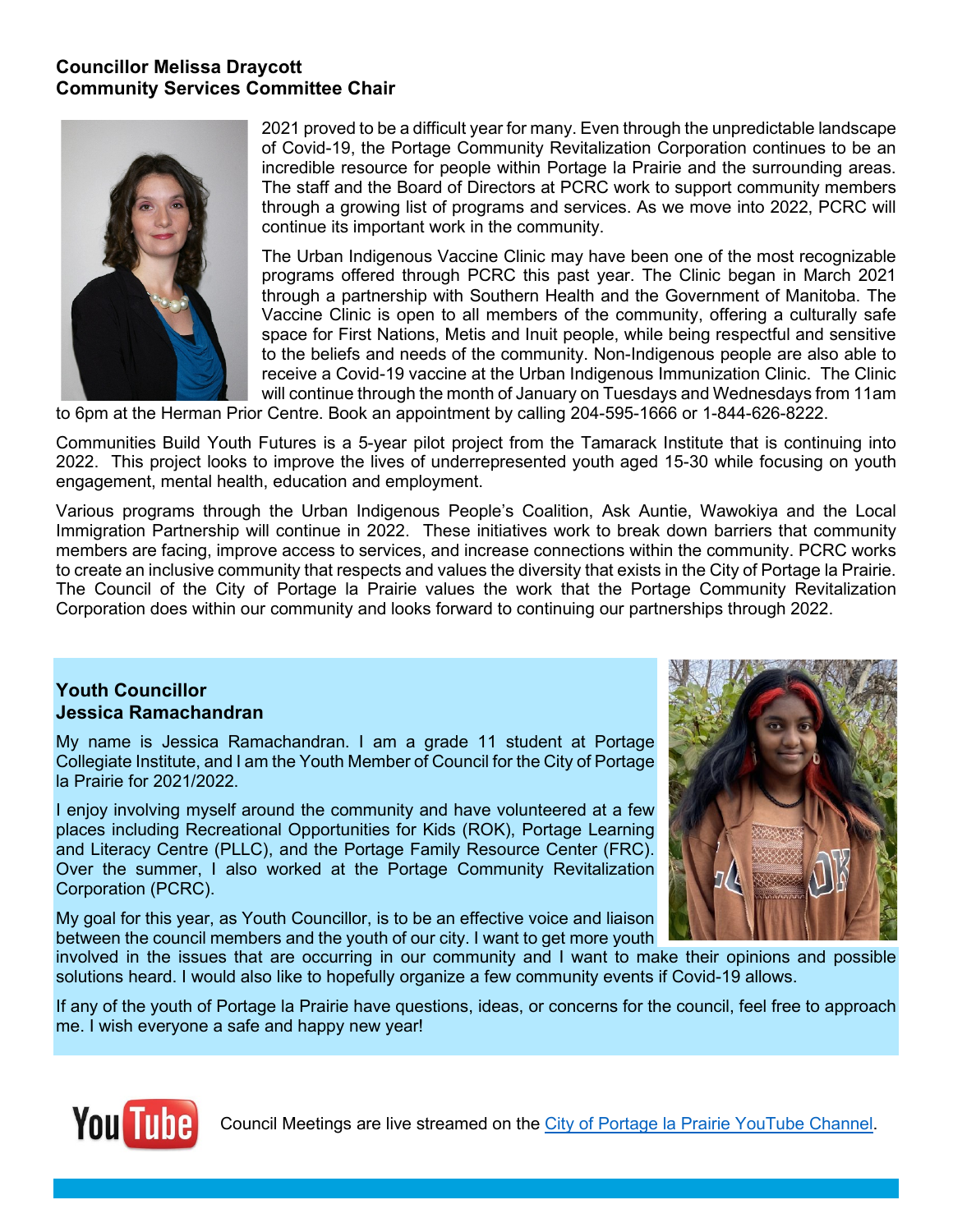### **Councillor Melissa Draycott Community Services Committee Chair**



2021 proved to be a difficult year for many. Even through the unpredictable landscape of Covid-19, the Portage Community Revitalization Corporation continues to be an incredible resource for people within Portage la Prairie and the surrounding areas. The staff and the Board of Directors at PCRC work to support community members through a growing list of programs and services. As we move into 2022, PCRC will continue its important work in the community.

The Urban Indigenous Vaccine Clinic may have been one of the most recognizable programs offered through PCRC this past year. The Clinic began in March 2021 through a partnership with Southern Health and the Government of Manitoba. The Vaccine Clinic is open to all members of the community, offering a culturally safe space for First Nations, Metis and Inuit people, while being respectful and sensitive to the beliefs and needs of the community. Non-Indigenous people are also able to receive a Covid-19 vaccine at the Urban Indigenous Immunization Clinic. The Clinic will continue through the month of January on Tuesdays and Wednesdays from 11am

to 6pm at the Herman Prior Centre. Book an appointment by calling 204-595-1666 or 1-844-626-8222.

Communities Build Youth Futures is a 5-year pilot project from the Tamarack Institute that is continuing into 2022. This project looks to improve the lives of underrepresented youth aged 15-30 while focusing on youth engagement, mental health, education and employment.

Various programs through the Urban Indigenous People's Coalition, Ask Auntie, Wawokiya and the Local Immigration Partnership will continue in 2022. These initiatives work to break down barriers that community members are facing, improve access to services, and increase connections within the community. PCRC works to create an inclusive community that respects and values the diversity that exists in the City of Portage la Prairie. The Council of the City of Portage la Prairie values the work that the Portage Community Revitalization Corporation does within our community and looks forward to continuing our partnerships through 2022.

#### **Youth Councillor Jessica Ramachandran**

My name is Jessica Ramachandran. I am a grade 11 student at Portage Collegiate Institute, and I am the Youth Member of Council for the City of Portage la Prairie for 2021/2022.

I enjoy involving myself around the community and have volunteered at a few places including Recreational Opportunities for Kids (ROK), Portage Learning and Literacy Centre (PLLC), and the Portage Family Resource Center (FRC). Over the summer, I also worked at the Portage Community Revitalization Corporation (PCRC).

My goal for this year, as Youth Councillor, is to be an effective voice and liaison between the council members and the youth of our city. I want to get more youth



involved in the issues that are occurring in our community and I want to make their opinions and possible solutions heard. I would also like to hopefully organize a few community events if Covid-19 allows.

If any of the youth of Portage la Prairie have questions, ideas, or concerns for the council, feel free to approach me. I wish everyone a safe and happy new year!



Council Meetings are live streamed on the [City of Portage la Prairie YouTube Channel.](https://www.youtube.com/channel/UCy2MKYDEsK_SRF2ByXIBcBw/videos)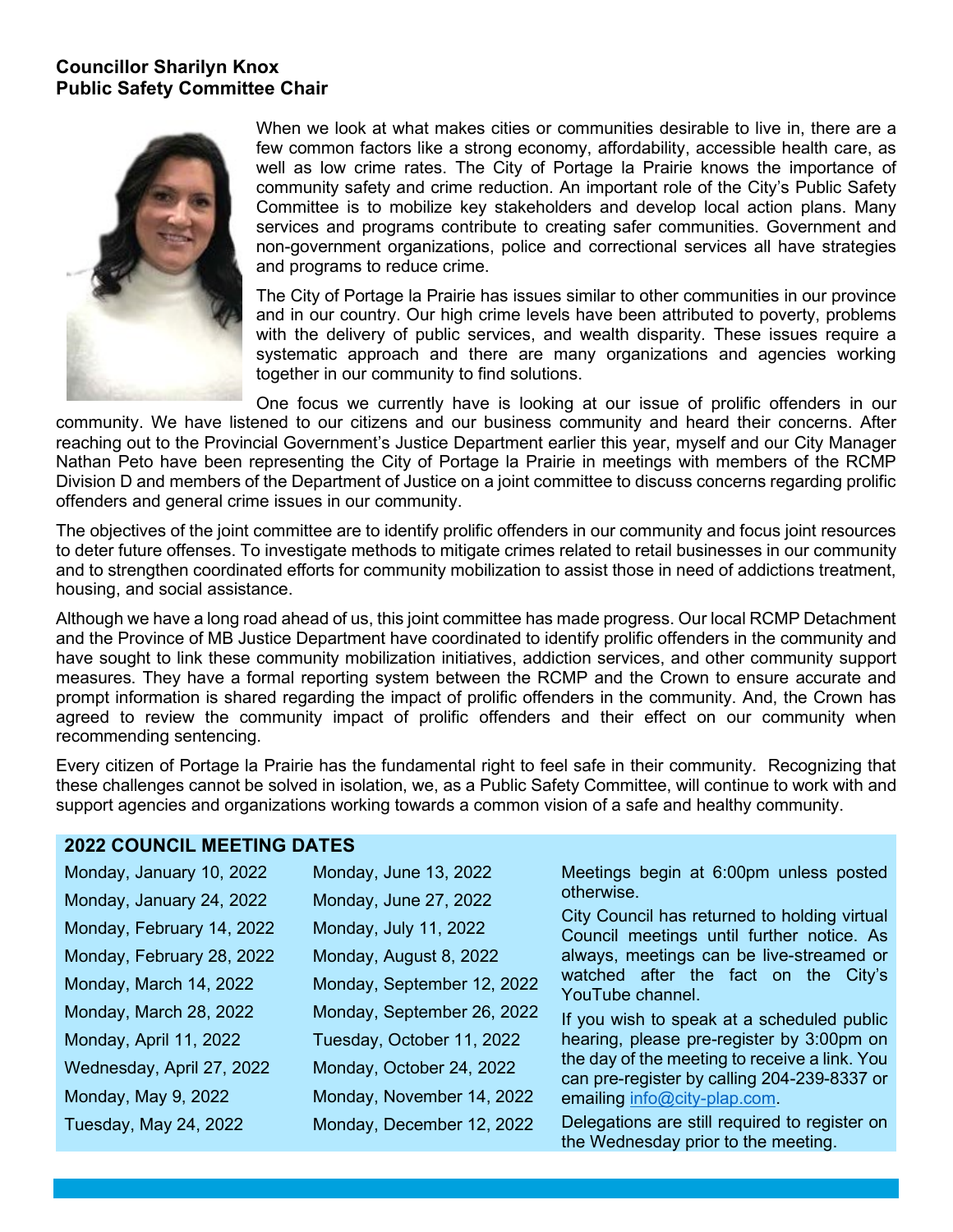#### **Councillor Sharilyn Knox Public Safety Committee Chair**



When we look at what makes cities or communities desirable to live in, there are a few common factors like a strong economy, affordability, accessible health care, as well as low crime rates. The City of Portage la Prairie knows the importance of community safety and crime reduction. An important role of the City's Public Safety Committee is to mobilize key stakeholders and develop local action plans. Many services and programs contribute to creating safer communities. Government and non-government organizations, police and correctional services all have strategies and programs to reduce crime.

The City of Portage la Prairie has issues similar to other communities in our province and in our country. Our high crime levels have been attributed to poverty, problems with the delivery of public services, and wealth disparity. These issues require a systematic approach and there are many organizations and agencies working together in our community to find solutions.

One focus we currently have is looking at our issue of prolific offenders in our community. We have listened to our citizens and our business community and heard their concerns. After reaching out to the Provincial Government's Justice Department earlier this year, myself and our City Manager Nathan Peto have been representing the City of Portage la Prairie in meetings with members of the RCMP Division D and members of the Department of Justice on a joint committee to discuss concerns regarding prolific offenders and general crime issues in our community.

The objectives of the joint committee are to identify prolific offenders in our community and focus joint resources to deter future offenses. To investigate methods to mitigate crimes related to retail businesses in our community and to strengthen coordinated efforts for community mobilization to assist those in need of addictions treatment, housing, and social assistance.

Although we have a long road ahead of us, this joint committee has made progress. Our local RCMP Detachment and the Province of MB Justice Department have coordinated to identify prolific offenders in the community and have sought to link these community mobilization initiatives, addiction services, and other community support measures. They have a formal reporting system between the RCMP and the Crown to ensure accurate and prompt information is shared regarding the impact of prolific offenders in the community. And, the Crown has agreed to review the community impact of prolific offenders and their effect on our community when recommending sentencing.

Every citizen of Portage la Prairie has the fundamental right to feel safe in their community. Recognizing that these challenges cannot be solved in isolation, we, as a Public Safety Committee, will continue to work with and support agencies and organizations working towards a common vision of a safe and healthy community.

#### **2022 COUNCIL MEETING DATES**

| Monday, January 10, 2022  | Monday, June 13, 2022      | Meetings begin at 6:00pm unless posted<br>otherwise.<br>City Council has returned to holding virtual<br>Council meetings until further notice. As<br>always, meetings can be live-streamed or<br>watched after the fact on the City's<br>YouTube channel. |
|---------------------------|----------------------------|-----------------------------------------------------------------------------------------------------------------------------------------------------------------------------------------------------------------------------------------------------------|
| Monday, January 24, 2022  | Monday, June 27, 2022      |                                                                                                                                                                                                                                                           |
| Monday, February 14, 2022 | Monday, July 11, 2022      |                                                                                                                                                                                                                                                           |
| Monday, February 28, 2022 | Monday, August 8, 2022     |                                                                                                                                                                                                                                                           |
| Monday, March 14, 2022    | Monday, September 12, 2022 |                                                                                                                                                                                                                                                           |
| Monday, March 28, 2022    | Monday, September 26, 2022 | If you wish to speak at a scheduled public                                                                                                                                                                                                                |
| Monday, April 11, 2022    | Tuesday, October 11, 2022  | hearing, please pre-register by 3:00pm on                                                                                                                                                                                                                 |
| Wednesday, April 27, 2022 | Monday, October 24, 2022   | the day of the meeting to receive a link. You<br>can pre-register by calling 204-239-8337 or                                                                                                                                                              |
| Monday, May 9, 2022       | Monday, November 14, 2022  | emailing info@city-plap.com.                                                                                                                                                                                                                              |
| Tuesday, May 24, 2022     | Monday, December 12, 2022  | Delegations are still required to register on<br>the Wednesday prior to the meeting.                                                                                                                                                                      |